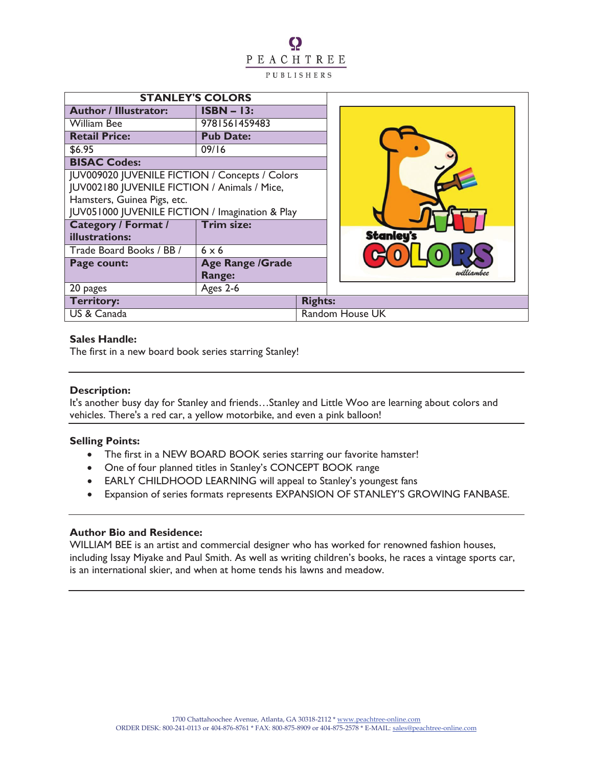## Q PEACHTREE PUBLISHERS

| <b>STANLEY'S COLORS</b>                         |                         |                 |                  |  |
|-------------------------------------------------|-------------------------|-----------------|------------------|--|
| <b>Author / Illustrator:</b>                    | $ISBN - 13:$            |                 |                  |  |
| <b>William Bee</b>                              | 9781561459483           |                 |                  |  |
| <b>Retail Price:</b>                            | <b>Pub Date:</b>        |                 |                  |  |
| \$6.95                                          | 09/16                   |                 |                  |  |
| <b>BISAC Codes:</b>                             |                         |                 |                  |  |
| JUV009020 JUVENILE FICTION / Concepts / Colors  |                         |                 |                  |  |
| JUV002180 JUVENILE FICTION / Animals / Mice,    |                         |                 |                  |  |
| Hamsters, Guinea Pigs, etc.                     |                         |                 |                  |  |
| JUV051000 JUVENILE FICTION / Imagination & Play |                         |                 |                  |  |
| <b>Category / Format /</b>                      | <b>Trim size:</b>       |                 |                  |  |
| illustrations:                                  |                         |                 | <b>Stanley's</b> |  |
| Trade Board Books / BB /                        | $6 \times 6$            |                 |                  |  |
| Page count:                                     | <b>Age Range /Grade</b> |                 |                  |  |
|                                                 | Range:                  |                 |                  |  |
| 20 pages                                        | Ages 2-6                |                 |                  |  |
| <b>Territory:</b>                               |                         | <b>Rights:</b>  |                  |  |
| US & Canada                                     |                         | Random House UK |                  |  |

#### **Sales Handle:**

The first in a new board book series starring Stanley!

## **Description:**

It's another busy day for Stanley and friends…Stanley and Little Woo are learning about colors and vehicles. There's a red car, a yellow motorbike, and even a pink balloon!

## **Selling Points:**

- · The first in a NEW BOARD BOOK series starring our favorite hamster!
- · One of four planned titles in Stanley's CONCEPT BOOK range
- · EARLY CHILDHOOD LEARNING will appeal to Stanley's youngest fans
- · Expansion of series formats represents EXPANSION OF STANLEY'S GROWING FANBASE.

## **Author Bio and Residence:**

WILLIAM BEE is an artist and commercial designer who has worked for renowned fashion houses, including Issay Miyake and Paul Smith. As well as writing children's books, he races a vintage sports car, is an international skier, and when at home tends his lawns and meadow.